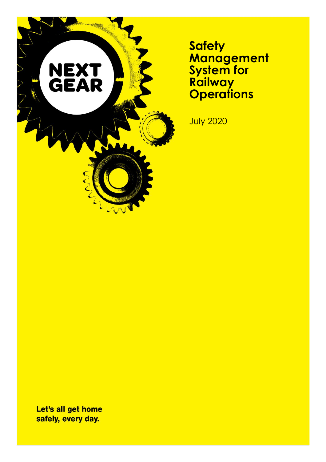

**Safety Management System for Railway Operations**

July 2020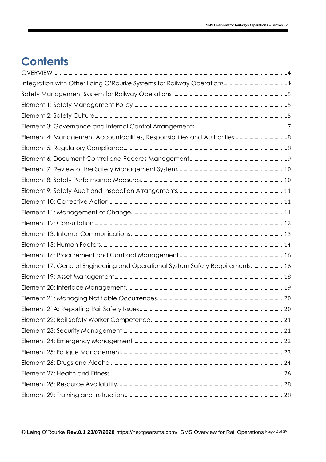# **Contents**

| Element 17: General Engineering and Operational System Safety Requirements.  16 |  |
|---------------------------------------------------------------------------------|--|
|                                                                                 |  |
|                                                                                 |  |
|                                                                                 |  |
|                                                                                 |  |
|                                                                                 |  |
|                                                                                 |  |
|                                                                                 |  |
|                                                                                 |  |
|                                                                                 |  |
|                                                                                 |  |
|                                                                                 |  |
|                                                                                 |  |
|                                                                                 |  |

© Laing O'Rourke Rev.0.1 23/07/2020 https://nextgearsms.com/ SMS Overview for Rail Operations Page 2 of 29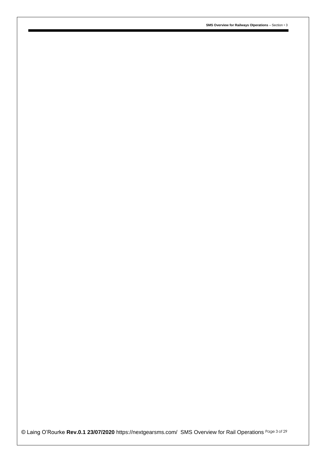**SMS Overview for Railways OIperations** – Section • 3

© Laing O'Rourke **Rev.0.1 23/07/2020** https://nextgearsms.com/ SMS Overview for Rail Operations Page 3 of 29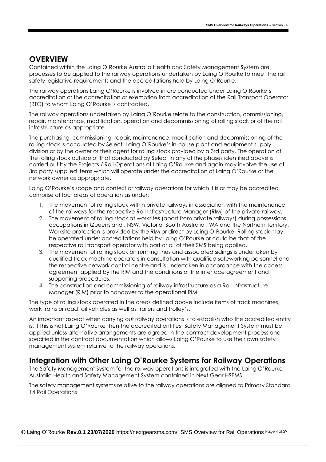### <span id="page-3-0"></span>**OVERVIEW**

Contained within the Laing O'Rourke Australia Health and Safety Management System are processes to be applied to the railway operations undertaken by Laing O'Rourke to meet the rail safety legislative requirements and the accreditations held by Laing O'Rourke.

The railway operations Laing O'Rourke is involved in are conducted under Laing O'Rourke's accreditation or the accreditation or exemption from accreditation of the Rail Transport Operator (RTO) to whom Laing O'Rourke is contracted.

The railway operations undertaken by Laing O'Rourke relate to the construction, commissioning, repair, maintenance, modification, operation and decommissioning of rolling stock or of the rail infrastructure as appropriate.

The purchasing, commissioning, repair, maintenance, modification and decommissioning of the rolling stock is conducted by Select, Laing O'Rourke's in-house plant and equipment supply division or by the owner or their agent for rolling stock provided by a 3rd party. The operation of the rolling stock outside of that conducted by Select in any of the phases identified above is carried out by the Projects / Rail Operations of Laing O'Rourke and again may involve the use of 3rd party supplied items which will operate under the accreditation of Laing O'Rourke or the network owner as appropriate.

Laing O'Rourke's scope and context of railway operations for which it is or may be accredited comprise of four areas of operation as under:

- 1. The movement of rolling stock within private railways in association with the maintenance of the railways for the respective Rail Infrastructure Manager (RIM) of the private railway.
- 2. The movement of rolling stock at worksites (apart from private railways) during possessions occupations in Queensland , NSW, Victoria, South Australia , WA and the Northern Territory. Worksite protection is provided by the RIM or direct by Laing O'Rourke. Rolling stock may be operated under accreditations held by Laing O'Rourke or could be that of the respective rail transport operator with part or all of their SMS being applied.
- 3. The movement of rolling stock on running lines and associated sidings is undertaken by qualified track machine operators in consultation with qualified safeworking personnel and the respective network control centre and is undertaken in accordance with the access agreement applied by the RIM and the conditions of the interface agreement and supporting procedures.
- 4. The construction and commissioning of railway infrastructure as a Rail Infrastructure Manager (RIM) prior to handover to the operational RIM.

The type of rolling stock operated in the areas defined above include items of track machines, work trains or road rail vehicles as well as trailers and trolley's.

An important aspect when carrying out railway operations is to establish who the accredited entity is. If this is not Laing O'Rourke then the accredited entities' Safety Management System must be applied unless alternative arrangements are agreed in the contract development process and specified in the contract documentation which allows Laing O'Rourke to use their own safety management system relative to the railway operations.

# <span id="page-3-1"></span>**Integration with Other Laing O'Rourke Systems for Railway Operations**

The Safety Management System for the railway operations is integrated with the Laing O'Rourke Australia Health and Safety Management System contained in Next Gear HSEMS.

The safety management systems relative to the railway operations are aligned to Primary Standard 14 Rail Operations

© Laing O'Rourke **Rev.0.1 23/07/2020** https://nextgearsms.com/ SMS Overview for Rail Operations Page 4 of 29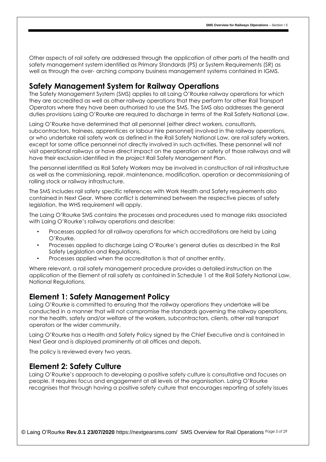Other aspects of rail safety are addressed through the application of other parts of the health and safety management system identified as Primary Standards (PS) or System Requirements (SR) as well as through the over- arching company business management systems contained in IGMS.

# <span id="page-4-0"></span>**Safety Management System for Railway Operations**

The Safety Management System (SMS) applies to all Laing O'Rourke railway operations for which they are accredited as well as other railway operations that they perform for other Rail Transport Operators where they have been authorised to use the SMS. The SMS also addresses the general duties provisions Laing O'Rourke are required to discharge in terms of the Rail Safety National Law.

Laing O'Rourke have determined that all personnel (either direct workers, consultants, subcontractors, trainees, apprentices or labour hire personnel) involved in the railway operations, or who undertake rail safety work as defined in the Rail Safety National Law, are rail safety workers, except for some office personnel not directly involved in such activities. These personnel will not visit operational railways or have direct impact on the operation or safety of those railways and will have their exclusion identified in the project Rail Safety Management Plan.

The personnel identified as Rail Safety Workers may be involved in construction of rail infrastructure as well as the commissioning, repair, maintenance, modification, operation or decommissioning of rolling stock or railway infrastructure.

The SMS includes rail safety specific references with Work Health and Safety requirements also contained in Next Gear. Where conflict is determined between the respective pieces of safety legislation, the WHS requirement will apply.

The Laing O'Rourke SMS contains the processes and procedures used to manage risks associated with Laing O'Rourke's railway operations and describe:

- Processes applied for all railway operations for which accreditations are held by Laing O'Rourke.
- Processes applied to discharge Laing O'Rourke's general duties as described in the Rail Safety Legislation and Regulations.
- Processes applied when the accreditation is that of another entity.

Where relevant, a rail safety management procedure provides a detailed instruction on the application of the Element of rail safety as contained in Schedule 1 of the Rail Safety National Law, National Regulations.

# <span id="page-4-1"></span>**Element 1: Safety Management Policy**

Laing O'Rourke is committed to ensuring that the railway operations they undertake will be conducted in a manner that will not compromise the standards governing the railway operations, nor the health, safety and/or welfare of the workers, subcontractors, clients, other rail transport operators or the wider community.

Laing O'Rourke has a Health and Safety Policy signed by the Chief Executive and is contained in Next Gear and is displayed prominently at all offices and depots.

The policy is reviewed every two years.

# <span id="page-4-2"></span>**Element 2: Safety Culture**

Laing O'Rourke's approach to developing a positive safety culture is consultative and focuses on people. It requires focus and engagement at all levels of the organisation. Laing O'Rourke recognises that through having a positive safety culture that encourages reporting of safety issues

© Laing O'Rourke **Rev.0.1 23/07/2020** https://nextgearsms.com/ SMS Overview for Rail Operations Page 5 of 29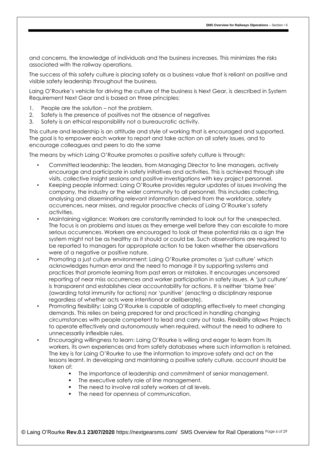and concerns, the knowledge of individuals and the business increases. This minimizes the risks associated with the railway operations.

The success of this safety culture is placing safety as a business value that is reliant on positive and visible safety leadership throughout the business.

Laing O'Rourke's vehicle for driving the culture of the business is Next Gear, is described in System Requirement Next Gear and is based on three principles:

- 1. People are the solution not the problem.
- 2. Safety is the presence of positives not the absence of negatives
- 3. Safety is an ethical responsibility not a bureaucratic activity.

This culture and leadership is an attitude and style of working that is encouraged and supported. The goal is to empower each worker to report and take action on all safety issues, and to encourage colleagues and peers to do the same

The means by which Laing O'Rourke promotes a positive safety culture is through:

- Committed leadership: The leaders, from Managing Director to line managers, actively encourage and participate in safety initiatives and activities. This is achieved through site visits, collective insight sessions and positive investigations with key project personnel.
- Keeping people informed: Laing O'Rourke provides regular updates of issues involving the company, the industry or the wider community to all personnel. This includes collecting, analysing and disseminating relevant information derived from the workforce, safety occurrences, near misses, and regular proactive checks of Laing O'Rourke's safety activities.
- Maintaining vigilance: Workers are constantly reminded to look out for the unexpected. The focus is on problems and issues as they emerge well before they can escalate to more serious occurrences. Workers are encouraged to look at these potential risks as a sign the system might not be as healthy as it should or could be. Such observations are required to be reported to managers for appropriate action to be taken whether the observations were of a negative or positive nature.
- Promoting a just culture environment: Laing O'Rourke promotes a 'just culture' which acknowledges human error and the need to manage it by supporting systems and practices that promote learning from past errors or mistakes. It encourages uncensored reporting of near miss occurrences and worker participation in safety issues. A 'just culture' is transparent and establishes clear accountability for actions. It is neither 'blame free' (awarding total immunity for actions) nor 'punitive' (enacting a disciplinary response regardless of whether acts were intentional or deliberate).
- Promoting flexibility: Laing O'Rourke is capable of adapting effectively to meet changing demands. This relies on being prepared for and practiced in handling changing circumstances with people competent to lead and carry out tasks. Flexibility allows Projects to operate effectively and autonomously when required, without the need to adhere to unnecessarily inflexible rules.
- Encouraging willingness to learn: Laing O'Rourke is willing and eager to learn from its workers, its own experiences and from safety databases where such information is retained. The key is for Laing O'Rourke to use the information to improve safety and act on the lessons learnt. In developing and maintaining a positive safety culture, account should be taken of:
	- The importance of leadership and commitment of senior management.
	- The executive safety role of line management.
	- The need to involve rail safety workers at all levels.
	- The need for openness of communication.

© Laing O'Rourke **Rev.0.1 23/07/2020** https://nextgearsms.com/ SMS Overview for Rail Operations Page 6 of 29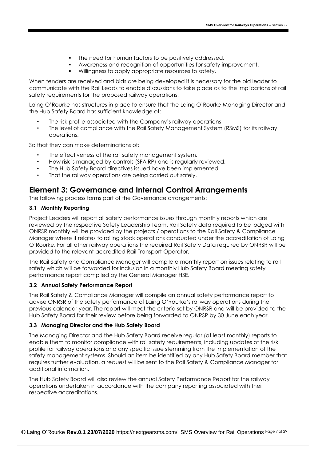- The need for human factors to be positively addressed.
- Awareness and recognition of opportunities for safety improvement.
- Willingness to apply appropriate resources to safety.

When tenders are received and bids are being developed it is necessary for the bid leader to communicate with the Rail Leads to enable discussions to take place as to the implications of rail safety requirements for the proposed railway operations.

Laing O'Rourke has structures in place to ensure that the Laing O'Rourke Managing Director and the Hub Safety Board has sufficient knowledge of:

- The risk profile associated with the Company's railway operations
- The level of compliance with the Rail Safety Management System (RSMS) for its railway operations.

So that they can make determinations of:

- The effectiveness of the rail safety management system.
- How risk is managed by controls (SFAIRP) and is regularly reviewed.
- The Hub Safety Board directives issued have been implemented.
- That the railway operations are being carried out safely.

# <span id="page-6-0"></span>**Element 3: Governance and Internal Control Arrangements**

The following process forms part of the Governance arrangements:

#### **3.1 Monthly Reporting**

Project Leaders will report all safety performance issues through monthly reports which are reviewed by the respective Safety Leadership Team. Rail Safety data required to be lodged with ONRSR monthly will be provided by the projects / operations to the Rail Safety & Compliance Manager where it relates to rolling stock operations conducted under the accreditation of Laing O'Rourke. For all other railway operations the required Rail Safety Data required by ONRSR will be provided to the relevant accredited Rail Transport Operator.

The Rail Safety and Compliance Manager will compile a monthly report on issues relating to rail safety which will be forwarded for inclusion in a monthly Hub Safety Board meeting safety performance report compiled by the General Manager HSE.

#### **3.2 Annual Safety Performance Report**

The Rail Safety & Compliance Manager will compile an annual safety performance report to advise ONRSR of the safety performance of Laing O'Rourke's railway operations during the previous calendar year. The report will meet the criteria set by ONRSR and will be provided to the Hub Safety Board for their review before being forwarded to ONRSR by 30 June each year.

### **3.3 Managing Director and the Hub Safety Board**

The Managing Director and the Hub Safety Board receive regular (at least monthly) reports to enable them to monitor compliance with rail safety requirements, including updates of the risk profile for railway operations and any specific issue stemming from the implementation of the safety management systems. Should an item be identified by any Hub Safety Board member that requires further evaluation, a request will be sent to the Rail Safety & Compliance Manager for additional information.

The Hub Safety Board will also review the annual Safety Performance Report for the railway operations undertaken in accordance with the company reporting associated with their respective accreditations.

© Laing O'Rourke **Rev.0.1 23/07/2020** https://nextgearsms.com/ SMS Overview for Rail Operations Page 7 of 29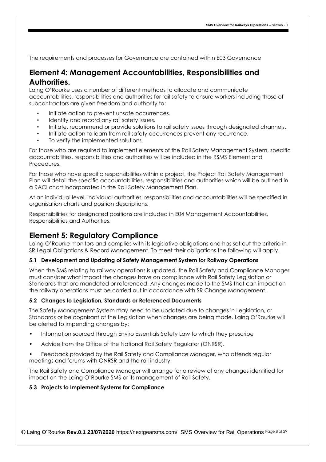The requirements and processes for Governance are contained within E03 Governance

# <span id="page-7-0"></span>**Element 4: Management Accountabilities, Responsibilities and Authorities.**

Laing O'Rourke uses a number of different methods to allocate and communicate accountabilities, responsibilities and authorities for rail safety to ensure workers including those of subcontractors are given freedom and authority to:

- Initiate action to prevent unsafe occurrences.
- Identify and record any rail safety issues.
- Initiate, recommend or provide solutions to rail safety issues through designated channels.
- Initiate action to learn from rail safety occurrences prevent any recurrence.
- To verify the implemented solutions.

For those who are required to implement elements of the Rail Safety Management System, specific accountabilities, responsibilities and authorities will be included in the RSMS Element and Procedures.

For those who have specific responsibilities within a project, the Project Rail Safety Management Plan will detail the specific accountabilities, responsibilities and authorities which will be outlined in a RACI chart incorporated in the Rail Safety Management Plan.

At an individual level, individual authorities, responsibilities and accountabilities will be specified in organisation charts and position descriptions.

Responsibilities for designated positions are included in E04 Management Accountabilities, Responsibilities and Authorities.

# <span id="page-7-1"></span>**Element 5: Regulatory Compliance**

Laing O'Rourke monitors and complies with its legislative obligations and has set out the criteria in SR Legal Obligations & Record Management. To meet their obligations the following will apply.

### **5.1 Development and Updating of Safety Management System for Railway Operations**

When the SMS relating to railway operations is updated, the Rail Safety and Compliance Manager must consider what impact the changes have on compliance with Rail Safety Legislation or Standards that are mandated or referenced. Any changes made to the SMS that can impact on the railway operations must be carried out in accordance with SR Change Management.

### **5.2 Changes to Legislation, Standards or Referenced Documents**

The Safety Management System may need to be updated due to changes in Legislation, or Standards or be cognisant of the Legislation when changes are being made. Laing O'Rourke will be alerted to impending changes by:

- Information sourced through Enviro Essentials Safety Law to which they prescribe
- Advice from the Office of the National Rail Safety Regulator (ONRSR).
- Feedback provided by the Rail Safety and Compliance Manager, who attends regular meetings and forums with ONRSR and the rail industry.

The Rail Safety and Compliance Manager will arrange for a review of any changes identified for impact on the Laing O'Rourke SMS or its management of Rail Safety.

### **5.3 Projects to Implement Systems for Compliance**

© Laing O'Rourke **Rev.0.1 23/07/2020** https://nextgearsms.com/ SMS Overview for Rail Operations Page 8 of 29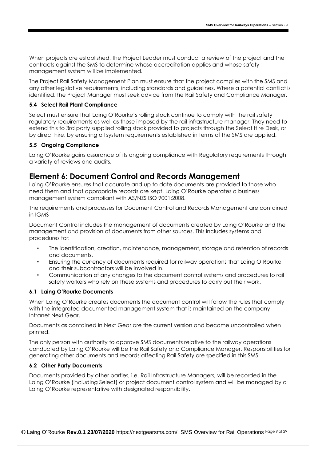When projects are established, the Project Leader must conduct a review of the project and the contracts against the SMS to determine whose accreditation applies and whose safety management system will be implemented.

The Project Rail Safety Management Plan must ensure that the project complies with the SMS and any other legislative requirements, including standards and guidelines. Where a potential conflict is identified, the Project Manager must seek advice from the Rail Safety and Compliance Manager.

### **5.4 Select Rail Plant Compliance**

Select must ensure that Laing O'Rourke's rolling stock continue to comply with the rail safety regulatory requirements as well as those imposed by the rail infrastructure manager. They need to extend this to 3rd party supplied rolling stock provided to projects through the Select Hire Desk, or by direct hire, by ensuring all system requirements established in terms of the SMS are applied.

### **5.5 Ongoing Compliance**

Laing O'Rourke gains assurance of its ongoing compliance with Regulatory requirements through a variety of reviews and audits.

# <span id="page-8-0"></span>**Element 6: Document Control and Records Management**

Laing O'Rourke ensures that accurate and up to date documents are provided to those who need them and that appropriate records are kept. Laing O'Rourke operates a business management system compliant with AS/NZS ISO 9001:2008.

The requirements and processes for Document Control and Records Management are contained in IGMS

Document Control includes the management of documents created by Laing O'Rourke and the management and provision of documents from other sources. This includes systems and procedures for:

- The identification, creation, maintenance, management, storage and retention of records and documents.
- Ensuring the currency of documents required for railway operations that Laing O'Rourke and their subcontractors will be involved in.
- Communication of any changes to the document control systems and procedures to rail safety workers who rely on these systems and procedures to carry out their work.

### **6.1 Laing O'Rourke Documents**

When Laing O'Rourke creates documents the document control will follow the rules that comply with the integrated documented management system that is maintained on the company Intranet Next Gear.

Documents as contained in Next Gear are the current version and become uncontrolled when printed.

The only person with authority to approve SMS documents relative to the railway operations conducted by Laing O'Rourke will be the Rail Safety and Compliance Manager. Responsibilities for generating other documents and records affecting Rail Safety are specified in this SMS.

### **6.2 Other Party Documents**

Documents provided by other parties, i.e. Rail Infrastructure Managers, will be recorded in the Laing O'Rourke (including Select) or project document control system and will be managed by a Laing O'Rourke representative with designated responsibility.

© Laing O'Rourke **Rev.0.1 23/07/2020** https://nextgearsms.com/ SMS Overview for Rail Operations Page 9 of 29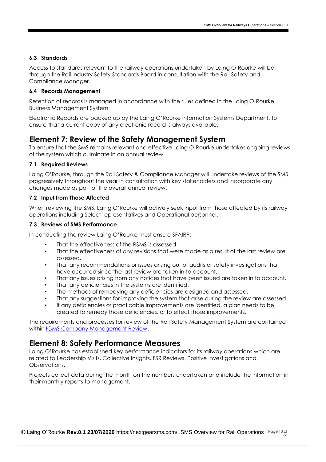### **6.3 Standards**

Access to standards relevant to the railway operations undertaken by Laing O'Rourke will be through the Rail Industry Safety Standards Board in consultation with the Rail Safety and Compliance Manager.

#### **6.4 Records Management**

Retention of records is managed in accordance with the rules defined in the Laing O'Rourke Business Management System.

Electronic Records are backed up by the Laing O'Rourke Information Systems Department, to ensure that a current copy of any electronic record is always available.

# <span id="page-9-0"></span>**Element 7: Review of the Safety Management System**

To ensure that the SMS remains relevant and effective Laing O'Rourke undertakes ongoing reviews of the system which culminate in an annual review.

#### **7.1 Required Reviews**

Laing O'Rourke, through the Rail Safety & Compliance Manager will undertake reviews of the SMS progressively throughout the year in consultation with key stakeholders and incorporate any changes made as part of the overall annual review.

#### **7.2 Input from Those Affected**

When reviewing the SMS, Laing O'Rourke will actively seek input from those affected by its railway operations including Select representatives and Operational personnel.

#### **7.3 Reviews of SMS Performance**

In conducting the review Laing O'Rourke must ensure SFAIRP:

- That the effectiveness of the RSMS is assessed
- That the effectiveness of any revisions that were made as a result of the last review are assessed.
- That any recommendations or issues arising out of audits or safety investigations that have occurred since the last review are taken in to account.
- That any issues arising from any notices that have been issued are taken in to account.
- That any deficiencies in the systems are identified.
- The methods of remedying any deficiencies are designed and assessed.
- That any suggestions for improving the system that arise during the review are assessed.
- If any deficiencies or practicable improvements are identified, a plan needs to be created to remedy those deficiencies, or to effect those improvements.

The requirements and processes for review of the Rail Safety Management System are contained within [IGMS Company Management Review.](https://laingorourke.sharepoint.com/sites/igms-au/projectlifecycle/Pages/Restricted/Company_management_review.aspx)

## <span id="page-9-1"></span>**Element 8: Safety Performance Measures**

Laing O'Rourke has established key performance indicators for its railway operations which are related to Leadership Visits, Collective Insights, FSR Reviews, Positive Investigations and Observations.

Projects collect data during the month on the numbers undertaken and include the information in their monthly reports to management.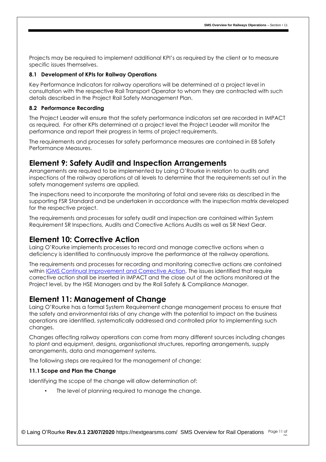Projects may be required to implement additional KPI's as required by the client or to measure specific issues themselves.

#### **8.1 Development of KPIs for Railway Operations**

Key Performance Indicators for railway operations will be determined at a project level in consultation with the respective Rail Transport Operator to whom they are contracted with such details described in the Project Rail Safety Management Plan.

### **8.2 Performance Recording**

The Project Leader will ensure that the safety performance indicators set are recorded in IMPACT as required. For other KPIs determined at a project level the Project Leader will monitor the performance and report their progress in terms of project requirements.

The requirements and processes for safety performance measures are contained in E8 Safety Performance Measures.

# <span id="page-10-0"></span>**Element 9: Safety Audit and Inspection Arrangements**

Arrangements are required to be implemented by Laing O'Rourke in relation to audits and inspections of the railway operations at all levels to determine that the requirements set out in the safety management systems are applied.

The inspections need to incorporate the monitoring of fatal and severe risks as described in the supporting FSR Standard and be undertaken in accordance with the inspection matrix developed for the respective project.

The requirements and processes for safety audit and inspection are contained within System Requirement SR Inspections, Audits and Corrective Actions Audits as well as SR Next Gear.

# <span id="page-10-1"></span>**Element 10: Corrective Action**

Laing O'Rourke implements processes to record and manage corrective actions when a deficiency is identified to continuously improve the performance at the railway operations.

The requirements and processes for recording and monitoring corrective actions are contained within [IGMS Continual Improvement](https://laingorourke.sharepoint.com/sites/igms-au/projectlifecycle/Pages/Continual_improvement_and_corrective_action.aspx) and Corrective Action. The issues identified that require corrective action shall be inserted in IMPACT and the close out of the actions monitored at the Project level, by the HSE Managers and by the Rail Safety & Compliance Manager.

### <span id="page-10-2"></span>**Element 11: Management of Change**

Laing O'Rourke has a formal System Requirement change management process to ensure that the safety and environmental risks of any change with the potential to impact on the business operations are identified, systematically addressed and controlled prior to implementing such changes.

Changes affecting railway operations can come from many different sources including changes to plant and equipment, designs, organisational structures, reporting arrangements, supply arrangements, data and management systems.

The following steps are required for the management of change:

### **11.1 Scope and Plan the Change**

Identifying the scope of the change will allow determination of:

The level of planning required to manage the change.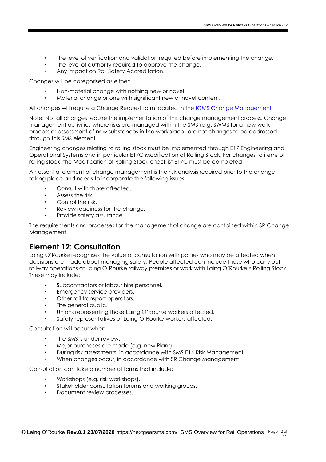- The level of verification and validation required before implementing the change.
- The level of authority required to approve the change.
- Any impact on Rail Safety Accreditation.

Changes will be categorised as either:

- Non-material change with nothing new or novel.
- Material change or one with significant new or novel content.

All changes will require a Change Request form located in the [IGMS Change Management](https://laingorourke.sharepoint.com/sites/igms-au/projectlifecycle/Pages/Change_management.aspx) 

Note: Not all changes require the implementation of this change management process. Change management activities where risks are managed within the SMS (e.g. SWMS for a new work process or assessment of new substances in the workplace) are not changes to be addressed through this SMS element.

Engineering changes relating to rolling stock must be implemented through E17 Engineering and Operational Systems and in particular E17C Modification of Rolling Stock. For changes to items of rolling stock, the Modification of Rolling Stock checklist E17C must be completed

An essential element of change management is the risk analysis required prior to the change taking place and needs to incorporate the following issues:

- Consult with those affected.
- Assess the risk.
- Control the risk.
- Review readiness for the change.
- Provide safety assurance.

The requirements and processes for the management of change are contained within SR Change Management

# <span id="page-11-0"></span>**Element 12: Consultation**

Laing O'Rourke recognises the value of consultation with parties who may be affected when decisions are made about managing safety. People affected can include those who carry out railway operations at Laing O'Rourke railway premises or work with Laing O'Rourke's Rolling Stock. These may include:

- Subcontractors or labour hire personnel.
- Emergency service providers.
- Other rail transport operators.
- The general public.
- Unions representing those Laing O'Rourke workers affected.
- Safety representatives of Laing O'Rourke workers affected.

Consultation will occur when:

- The SMS is under review.
- Major purchases are made (e.g. new Plant).
- During risk assessments, in accordance with SMS E14 Risk Management.
- When changes occur, in accordance with SR Change Management

Consultation can take a number of forms that include:

- Workshops (e.g. risk workshops).
- Stakeholder consultation forums and working groups.
- Document review processes.

© Laing O'Rourke **Rev.0.1 23/07/2020** https://nextgearsms.com/ SMS Overview for Rail Operations Page 12 of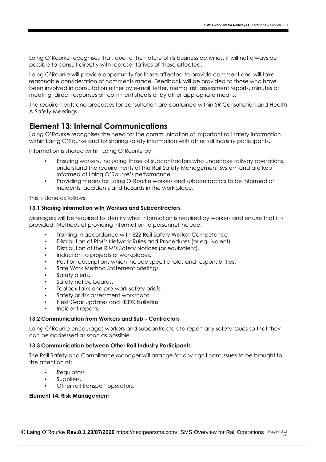Laing O'Rourke recognises that, due to the nature of its business activities, it will not always be possible to consult directly with representatives of those affected.

Laing O'Rourke will provide opportunity for those affected to provide comment and will take reasonable consideration of comments made. Feedback will be provided to those who have been involved in consultation either by e-mail, letter, memo, risk assessment reports, minutes of meeting, direct responses on comment sheets or by other appropriate means.

The requirements and processes for consultation are contained within SR Consultation and Health & Safety Meetings.

# <span id="page-12-0"></span>**Element 13: Internal Communications**

Laing O'Rourke recognises the need for the communication of important rail safety information within Laing O'Rourke and for sharing safety information with other rail industry participants.

Information is shared within Laing O'Rourke by:

- Ensuring workers, including those of subcontractors who undertake railway operations, understand the requirements of the Rail Safety Management System and are kept informed of Laing O'Rourke's performance.
- Providing means for Laing O'Rourke workers and subcontractors to be informed of incidents, accidents and hazards in the work place.

This is done as follows:

### **13.1 Sharing Information with Workers and Subcontractors**

Managers will be required to identify what information is required by workers and ensure that it is provided. Methods of providing information to personnel include:

- Training in accordance with E22 Rail Safety Worker Competence
- Distribution of RIM's Network Rules and Procedures (or equivalent).
- Distribution of the RIM's Safety Notices (or equivalent).
- Induction to projects or workplaces.
- Position descriptions which include specific roles and responsibilities.
- Safe Work Method Statement briefings.
- Safety alerts.
- Safety notice boards.
- Toolbox talks and pre-work safety briefs.
- Safety or risk assessment workshops.
- Next Gear updates and HSEQ bulletins.
- Incident reports.

#### **13.2 Communication from Workers and Sub - Contractors**

Laing O'Rourke encourages workers and subcontractors to report any safety issues so that they can be addressed as soon as possible.

#### **13.3 Communication between Other Rail Industry Participants**

The Rail Safety and Compliance Manager will arrange for any significant issues to be brought to the attention of:

- Regulators.
- Suppliers.
- Other rail transport operators.

#### **Element 14: Risk Management**

© Laing O'Rourke **Rev.0.1 23/07/2020** https://nextgearsms.com/ SMS Overview for Rail Operations Page 13 of  $\sim$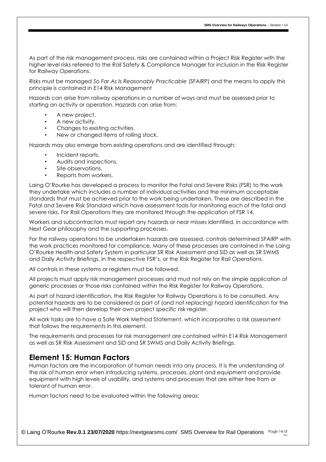As part of the risk management process, risks are contained within a Project Risk Register with the higher level risks referred to the Rail Safety & Compliance Manager for inclusion in the Risk Register for Railway Operations.

Risks must be managed *So Far As Is Reasonably Practicable* (SFAIRP) and the means to apply this principle is contained in E14 Risk Management

Hazards can arise from railway operations in a number of ways and must be assessed prior to starting an activity or operation. Hazards can arise from:

- A new project.
	- A new activity.
	- Changes to existing activities.
	- New or changed items of rolling stock.

Hazards may also emerge from existing operations and are identified through:

- Incident reports.
- Audits and inspections.
- Site observations.
- Reports from workers.

Laing O'Rourke has developed a process to monitor the Fatal and Severe Risks (FSR) to the work they undertake which includes a number of individual activities and the minimum acceptable standards that must be achieved prior to the work being undertaken. These are described in the Fatal and Severe Risk Standard which have assessment tools for monitoring each of the fatal and severe risks. For Rail Operations they are monitored through the application of FSR 14.

Workers and subcontractors must report any hazards or near misses identified, in accordance with Next Gear philosophy and the supporting processes.

For the railway operations to be undertaken hazards are assessed, controls determined SFAIRP with the work practices monitored for compliance. Many of these processes are contained in the Laing O'Rourke Health and Safety System in particular SR Risk Assessment and SiD as well as SR SWMS and Daily Activity Briefings, in the respective FSR's, or the Risk Register for Rail Operations.

All controls in these systems or registers must be followed.

All projects must apply risk management processes and must not rely on the simple application of generic processes or those risks contained within the Risk Register for Railway Operations.

As part of hazard identification, the Risk Register for Railway Operations is to be consulted. Any potential hazards are to be considered as part of (and not replacing) hazard identification for the project who will then develop their own project specific risk register.

All work tasks are to have a Safe Work Method Statement, which incorporates a risk assessment that follows the requirements in this element.

The requirements and processes for risk management are contained within E14 Risk Management as well as SR Risk Assessment and SiD and SR SWMS and Daily Activity Briefings.

## <span id="page-13-0"></span>**Element 15: Human Factors**

Human factors are the incorporation of human needs into any process. It is the understanding of the risk of human error when introducing systems, processes, plant and equipment and provide equipment with high levels of usability, and systems and processes that are either free from or tolerant of human error.

Human factors need to be evaluated within the following areas: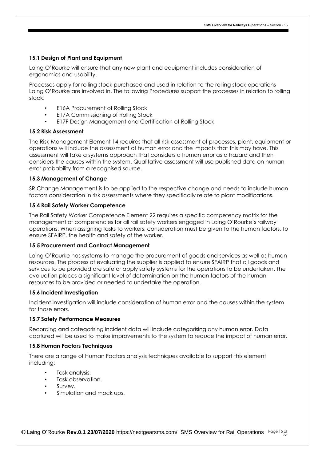### **15.1 Design of Plant and Equipment**

Laing O'Rourke will ensure that any new plant and equipment includes consideration of ergonomics and usability.

Processes apply for rolling stock purchased and used in relation to the rolling stock operations Laing O'Rourke are involved in. The following Procedures support the processes in relation to rolling stock:

- E16A Procurement of Rolling Stock
- E17A Commissioning of Rolling Stock
- E17F Design Management and Certification of Rolling Stock

#### **15.2 Risk Assessment**

The Risk Management Element 14 requires that all risk assessment of processes, plant, equipment or operations will include the assessment of human error and the impacts that this may have. This assessment will take a systems approach that considers a human error as a hazard and then considers the causes within the system. Qualitative assessment will use published data on human error probability from a recognised source.

#### **15.3 Management of Change**

SR Change Management is to be applied to the respective change and needs to include human factors consideration in risk assessments where they specifically relate to plant modifications.

#### **15.4 Rail Safety Worker Competence**

The Rail Safety Worker Competence Element 22 requires a specific competency matrix for the management of competencies for all rail safety workers engaged in Laing O'Rourke's railway operations. When assigning tasks to workers, consideration must be given to the human factors, to ensure SFAIRP, the health and safety of the worker.

#### **15.5 Procurement and Contract Management**

Laing O'Rourke has systems to manage the procurement of goods and services as well as human resources. The process of evaluating the supplier is applied to ensure SFAIRP that all goods and services to be provided are safe or apply safety systems for the operations to be undertaken. The evaluation places a significant level of determination on the human factors of the human resources to be provided or needed to undertake the operation.

#### **15.6 Incident Investigation**

Incident Investigation will include consideration of human error and the causes within the system for those errors.

#### **15.7 Safety Performance Measures**

Recording and categorising incident data will include categorising any human error. Data captured will be used to make improvements to the system to reduce the impact of human error.

#### **15.8 Human Factors Techniques**

There are a range of Human Factors analysis techniques available to support this element including:

- Task analysis.
- Task observation.
- Survey.
- Simulation and mock ups.

© Laing O'Rourke **Rev.0.1 23/07/2020** https://nextgearsms.com/ SMS Overview for Rail Operations Page 15 of  $\sim$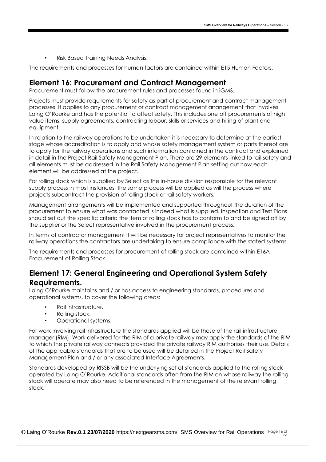• Risk Based Training Needs Analysis.

The requirements and processes for human factors are contained within E15 Human Factors.

# <span id="page-15-0"></span>**Element 16: Procurement and Contract Management**

Procurement must follow the procurement rules and processes found in iGMS.

Projects must provide requirements for safety as part of procurement and contract management processes. It applies to any procurement or contract management arrangement that involves Laing O'Rourke and has the potential to affect safety. This includes one off procurements of high value items, supply agreements, contracting labour, skills or services and hiring of plant and equipment.

In relation to the railway operations to be undertaken it is necessary to determine at the earliest stage whose accreditation is to apply and whose safety management system or parts thereof are to apply for the railway operations and such information contained in the contract and explained in detail in the Project Rail Safety Management Plan. There are 29 elements linked to rail safety and all elements must be addressed in the Rail Safety Management Plan setting out how each element will be addressed at the project.

For rolling stock which is supplied by Select as the in-house division responsible for the relevant supply process in most instances, the same process will be applied as will the process where projects subcontract the provision of rolling stock or rail safety workers.

Management arrangements will be implemented and supported throughout the duration of the procurement to ensure what was contracted is indeed what is supplied. Inspection and Test Plans should set out the specific criteria the item of rolling stock has to conform to and be signed off by the supplier or the Select representative involved in the procurement process.

In terms of contractor management it will be necessary for project representatives to monitor the railway operations the contractors are undertaking to ensure compliance with the stated systems.

The requirements and processes for procurement of rolling stock are contained within E16A Procurement of Rolling Stock.

# <span id="page-15-1"></span>**Element 17: General Engineering and Operational System Safety Requirements.**

Laing O'Rourke maintains and / or has access to engineering standards, procedures and operational systems, to cover the following areas:

- Rail infrastructure.
- Rolling stock.
- Operational systems.

For work involving rail infrastructure the standards applied will be those of the rail infrastructure manager (RIM). Work delivered for the RIM of a private railway may apply the standards of the RIM to which the private railway connects provided the private railway RIM authorises their use. Details of the applicable standards that are to be used will be detailed in the Project Rail Safety Management Plan and / or any associated Interface Agreements.

Standards developed by RISSB will be the underlying set of standards applied to the rolling stock operated by Laing O'Rourke. Additional standards often from the RIM on whose railway the rolling stock will operate may also need to be referenced in the management of the relevant rolling stock.

© Laing O'Rourke **Rev.0.1 23/07/2020** https://nextgearsms.com/ SMS Overview for Rail Operations Page 16 of  $\sim$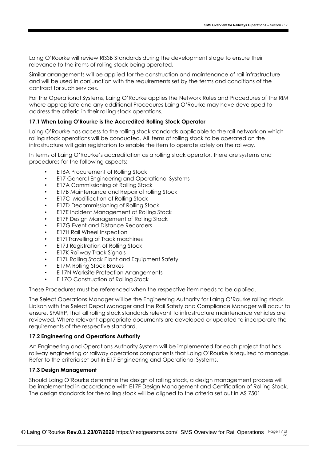Laing O'Rourke will review RISSB Standards during the development stage to ensure their relevance to the items of rolling stock being operated.

Similar arrangements will be applied for the construction and maintenance of rail infrastructure and will be used in conjunction with the requirements set by the terms and conditions of the contract for such services.

For the Operational Systems, Laing O'Rourke applies the Network Rules and Procedures of the RIM where appropriate and any additional Procedures Laing O'Rourke may have developed to address the criteria in their rolling stock operations.

### **17.1 When Laing O'Rourke is the Accredited Rolling Stock Operator**

Laing O'Rourke has access to the rolling stock standards applicable to the rail network on which rolling stock operations will be conducted. All items of rolling stock to be operated on the infrastructure will gain registration to enable the item to operate safely on the railway.

In terms of Laing O'Rourke's accreditation as a rolling stock operator, there are systems and procedures for the following aspects:

- E16A Procurement of Rolling Stock
- E17 General Engineering and Operational Systems
- E17A Commissioning of Rolling Stock
- E17B Maintenance and Repair of rolling Stock
- E17C Modification of Rolling Stock
- E17D Decommissioning of Rolling Stock
- E17E Incident Management of Rolling Stock
- E17F Design Management of Rolling Stock
- E17G Event and Distance Recorders
- E17H Rail Wheel Inspection
- E17I Travelling of Track machines
- E17J Registration of Rolling Stock
- E17K Railway Track Signals
- E17L Rolling Stock Plant and Equipment Safety
- E17M Rolling Stock Brakes
- E 17N Worksite Protection Arrangements
- **E 170 Construction of Rolling Stock**

These Procedures must be referenced when the respective item needs to be applied.

The Select Operations Manager will be the Engineering Authority for Laing O'Rourke rolling stock. Liaison with the Select Depot Manager and the Rail Safety and Compliance Manager will occur to ensure, SFAIRP, that all rolling stock standards relevant to infrastructure maintenance vehicles are reviewed. Where relevant appropriate documents are developed or updated to incorporate the requirements of the respective standard.

### **17.2 Engineering and Operations Authority**

An Engineering and Operations Authority System will be implemented for each project that has railway engineering or railway operations components that Laing O'Rourke is required to manage. Refer to the criteria set out in E17 Engineering and Operational Systems.

#### **17.3 Design Management**

Should Laing O'Rourke determine the design of rolling stock, a design management process will be implemented in accordance with E17F Design Management and Certification of Rolling Stock. The design standards for the rolling stock will be aligned to the criteria set out in AS 7501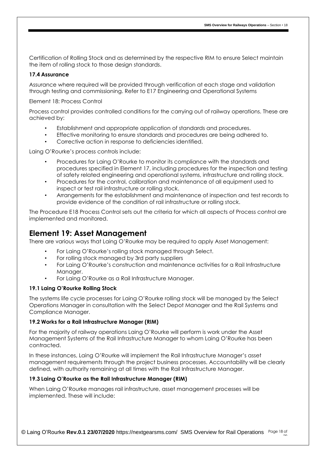Certification of Rolling Stock and as determined by the respective RIM to ensure Select maintain the item of rolling stock to those design standards.

### **17.4 Assurance**

Assurance where required will be provided through verification at each stage and validation through testing and commissioning. Refer to E17 Engineering and Operational Systems

Element 18: Process Control

Process control provides controlled conditions for the carrying out of railway operations. These are achieved by:

- Establishment and appropriate application of standards and procedures.
- Effective monitoring to ensure standards and procedures are being adhered to.
- Corrective action in response to deficiencies identified.

Laing O'Rourke's process controls include:

- Procedures for Laing O'Rourke to monitor its compliance with the standards and procedures specified in Element 17, including procedures for the inspection and testing of safety related engineering and operational systems, infrastructure and rolling stock.
- Procedures for the control, calibration and maintenance of all equipment used to inspect or test rail infrastructure or rolling stock.
- Arrangements for the establishment and maintenance of inspection and test records to provide evidence of the condition of rail infrastructure or rolling stock.

The Procedure E18 Process Control sets out the criteria for which all aspects of Process control are implemented and monitored.

# <span id="page-17-0"></span>**Element 19: Asset Management**

There are various ways that Laing O'Rourke may be required to apply Asset Management:

- For Laing O'Rourke's rolling stock managed through Select.
- For rolling stock managed by 3rd party suppliers
- For Laing O'Rourke's construction and maintenance activities for a Rail Infrastructure Manager.
- For Laing O'Rourke as a Rail Infrastructure Manager.

### **19.1 Laing O'Rourke Rolling Stock**

The systems life cycle processes for Laing O'Rourke rolling stock will be managed by the Select Operations Manager in consultation with the Select Depot Manager and the Rail Systems and Compliance Manager.

### **19.2 Works for a Rail Infrastructure Manager (RIM)**

For the majority of railway operations Laing O'Rourke will perform is work under the Asset Management Systems of the Rail Infrastructure Manager to whom Laing O'Rourke has been contracted.

In these instances, Laing O'Rourke will implement the Rail Infrastructure Manager's asset management requirements through the project business processes. Accountability will be clearly defined, with authority remaining at all times with the Rail Infrastructure Manager.

### **19.3 Laing O'Rourke as the Rail Infrastructure Manager (RIM)**

When Laing O'Rourke manages rail infrastructure, asset management processes will be implemented. These will include: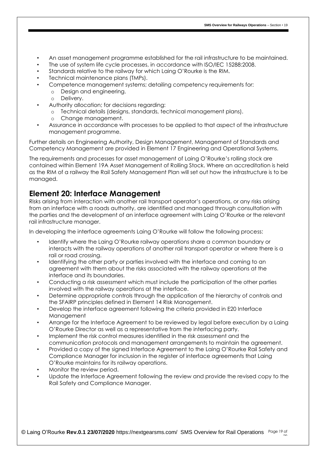- An asset management programme established for the rail infrastructure to be maintained.
- The use of system life cycle processes, in accordance with ISO/IEC 15288:2008.
- Standards relative to the railway for which Laing O'Rourke is the RIM.
- Technical maintenance plans (TMPs).
	- Competence management systems; detailing competency requirements for:
	- o Design and engineering.
	- o Delivery.
- Authority allocation; for decisions regarding:
	- o Technical details (designs, standards, technical management plans).
	- o Change management.
- Assurance in accordance with processes to be applied to that aspect of the infrastructure management programme.

Further details on Engineering Authority, Design Management, Management of Standards and Competency Management are provided in Element 17 Engineering and Operational Systems.

The requirements and processes for asset management of Laing O'Rourke's rolling stock are contained within Element 19A Asset Management of Rolling Stock. Where an accreditation is held as the RIM of a railway the Rail Safety Management Plan will set out how the infrastructure is to be managed.

## <span id="page-18-0"></span>**Element 20: Interface Management**

Risks arising from interaction with another rail transport operator's operations, or any risks arising from an interface with a roads authority, are identified and managed through consultation with the parties and the development of an interface agreement with Laing O'Rourke or the relevant rail infrastructure manager.

In developing the interface agreements Laing O'Rourke will follow the following process:

- Identify where the Laing O'Rourke railway operations share a common boundary or interacts with the railway operations of another rail transport operator or where there is a rail or road crossing.
- Identifying the other party or parties involved with the interface and coming to an agreement with them about the risks associated with the railway operations at the interface and its boundaries.
- Conducting a risk assessment which must include the participation of the other parties involved with the railway operations at the interface.
- Determine appropriate controls through the application of the hierarchy of controls and the SFAIRP principles defined in Element 14 Risk Management.
- Develop the interface agreement following the criteria provided in E20 Interface Management
- Arrange for the Interface Agreement to be reviewed by legal before execution by a Laing O'Rourke Director as well as a representative from the interfacing party.
- Implement the risk control measures identified in the risk assessment and the communication protocols and management arrangements to maintain the agreement.
- Provided a copy of the signed Interface Agreement to the Laing O'Rourke Rail Safety and Compliance Manager for inclusion in the register of interface agreements that Laing O'Rourke maintains for its railway operations.
- Monitor the review period.
- Update the Interface Agreement following the review and provide the revised copy to the Rail Safety and Compliance Manager.

© Laing O'Rourke **Rev.0.1 23/07/2020** https://nextgearsms.com/ SMS Overview for Rail Operations Page 19 of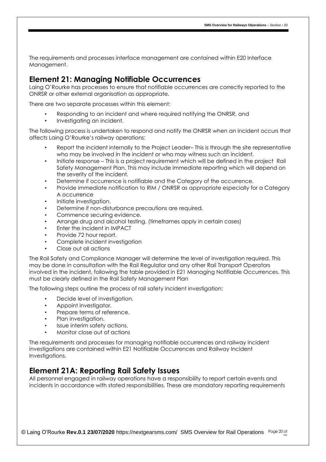The requirements and processes interface management are contained within E20 Interface Management.

# <span id="page-19-0"></span>**Element 21: Managing Notifiable Occurrences**

Laing O'Rourke has processes to ensure that notifiable occurrences are correctly reported to the ONRSR or other external organisation as appropriate.

There are two separate processes within this element:

- Responding to an incident and where required notifying the ONRSR, and
- Investigating an incident.

The following process is undertaken to respond and notify the ONRSR when an incident occurs that affects Laing O'Rourke's railway operations:

- Report the incident internally to the Project Leader– This is through the site representative who may be involved in the incident or who may witness such an incident.
- Initiate response This is a project requirement which will be defined in the project Rail Safety Management Plan. This may include immediate reporting which will depend on the severity of the incident.
- Determine if occurrence is notifiable and the Category of the occurrence.
- Provide immediate notification to RIM / ONRSR as appropriate especially for a Category A occurrence
- Initiate investigation.
- Determine if non-disturbance precautions are required.
- Commence securing evidence.
- Arrange drug and alcohol testing. (timeframes apply in certain cases)
- Enter the incident in IMPACT
- Provide 72 hour report.
- Complete incident investigation
- Close out all actions

The Rail Safety and Compliance Manager will determine the level of investigation required. This may be done in consultation with the Rail Regulator and any other Rail Transport Operators involved in the incident, following the table provided in E21 Managing Notifiable Occurrences. This must be clearly defined in the Rail Safety Management Plan

The following steps outline the process of rail safety incident investigation:

- Decide level of investigation.
- Appoint investigator.
- Prepare terms of reference.
- Plan investigation.
- Issue interim safety actions.
- Monitor close out of actions

The requirements and processes for managing notifiable occurrences and railway incident investigations are contained within E21 Notifiable Occurrences and Railway Incident Investigations.

# <span id="page-19-1"></span>**Element 21A: Reporting Rail Safety Issues**

All personnel engaged in railway operations have a responsibility to report certain events and incidents in accordance with stated responsibilities. These are mandatory reporting requirements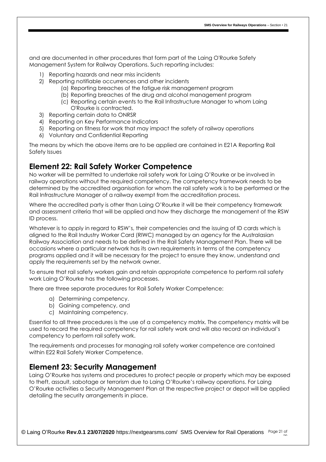and are documented in other procedures that form part of the Laing O'Rourke Safety Management System for Railway Operations. Such reporting includes:

- 1) Reporting hazards and near miss incidents
- 2) Reporting notifiable occurrences and other incidents
	- (a) Reporting breaches of the fatigue risk management program
	- (b) Reporting breaches of the drug and alcohol management program
	- (c) Reporting certain events to the Rail Infrastructure Manager to whom Laing O'Rourke is contracted.
- 3) Reporting certain data to ONRSR
- 4) Reporting on Key Performance Indicators
- 5) Reporting on fitness for work that may impact the safety of railway operations
- 6) Voluntary and Confidential Reporting

The means by which the above items are to be applied are contained in E21A Reporting Rail Safety Issues

# <span id="page-20-0"></span>**Element 22: Rail Safety Worker Competence**

No worker will be permitted to undertake rail safety work for Laing O'Rourke or be involved in railway operations without the required competency. The competency framework needs to be determined by the accredited organisation for whom the rail safety work is to be performed or the Rail Infrastructure Manager of a railway exempt from the accreditation process.

Where the accredited party is other than Laing O'Rourke it will be their competency framework and assessment criteria that will be applied and how they discharge the management of the RSW ID process.

Whatever is to apply in regard to RSW's, their competencies and the issuing of ID cards which is aligned to the Rail Industry Worker Card (RIWC) managed by an agency for the Australasian Railway Association and needs to be defined in the Rail Safety Management Plan. There will be occasions where a particular network has its own requirements in terms of the competency programs applied and it will be necessary for the project to ensure they know, understand and apply the requirements set by the network owner.

To ensure that rail safety workers gain and retain appropriate competence to perform rail safety work Laing O'Rourke has the following processes.

There are three separate procedures for Rail Safety Worker Competence:

- a) Determining competency.
- b) Gaining competency, and
- c) Maintaining competency.

Essential to all three procedures is the use of a competency matrix. The competency matrix will be used to record the required competency for rail safety work and will also record an individual's competency to perform rail safety work.

The requirements and processes for managing rail safety worker competence are contained within E22 Rail Safety Worker Competence.

# <span id="page-20-1"></span>**Element 23: Security Management**

Laing O'Rourke has systems and procedures to protect people or property which may be exposed to theft, assault, sabotage or terrorism due to Laing O'Rourke's railway operations. For Laing O'Rourke activities a Security Management Plan at the respective project or depot will be applied detailing the security arrangements in place.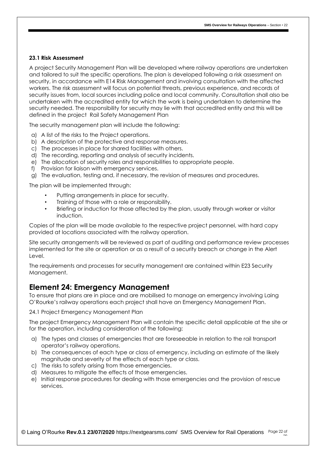#### **23.1 Risk Assessment**

A project Security Management Plan will be developed where railway operations are undertaken and tailored to suit the specific operations. The plan is developed following a risk assessment on security, in accordance with E14 Risk Management and involving consultation with the affected workers. The risk assessment will focus on potential threats, previous experience, and records of security issues from, local sources including police and local community. Consultation shall also be undertaken with the accredited entity for which the work is being undertaken to determine the security needed. The responsibility for security may lie with that accredited entity and this will be defined in the project Rail Safety Management Plan

The security management plan will include the following:

- a) A list of the risks to the Project operations.
- b) A description of the protective and response measures.
- c) The processes in place for shared facilities with others.
- d) The recording, reporting and analysis of security incidents.
- e) The allocation of security roles and responsibilities to appropriate people.
- f) Provision for liaison with emergency services.
- g) The evaluation, testing and, if necessary, the revision of measures and procedures.

The plan will be implemented through:

- Putting arrangements in place for security.
- Training of those with a role or responsibility.
- Briefing or induction for those affected by the plan, usually through worker or visitor induction.

Copies of the plan will be made available to the respective project personnel, with hard copy provided at locations associated with the railway operation.

Site security arrangements will be reviewed as part of auditing and performance review processes implemented for the site or operation or as a result of a security breach or change in the Alert Level.

The requirements and processes for security management are contained within E23 Security Management.

### <span id="page-21-0"></span>**Element 24: Emergency Management**

To ensure that plans are in place and are mobilised to manage an emergency involving Laing O'Rourke's railway operations each project shall have an Emergency Management Plan.

24.1 Project Emergency Management Plan

The project Emergency Management Plan will contain the specific detail applicable at the site or for the operation, including consideration of the following:

- a) The types and classes of emergencies that are foreseeable in relation to the rail transport operator's railway operations.
- b) The consequences of each type or class of emergency, including an estimate of the likely magnitude and severity of the effects of each type or class.
- c) The risks to safety arising from those emergencies.
- d) Measures to mitigate the effects of those emergencies.
- e) Initial response procedures for dealing with those emergencies and the provision of rescue services.

© Laing O'Rourke **Rev.0.1 23/07/2020** https://nextgearsms.com/ SMS Overview for Rail Operations Page 22 of  $\sim$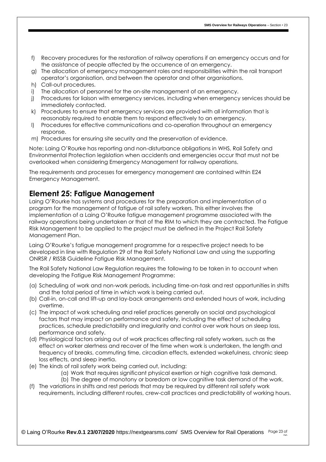- f) Recovery procedures for the restoration of railway operations if an emergency occurs and for the assistance of people affected by the occurrence of an emergency.
- g) The allocation of emergency management roles and responsibilities within the rail transport operator's organisation, and between the operator and other organisations.
- h) Call-out procedures.
- i) The allocation of personnel for the on-site management of an emergency.
- j) Procedures for liaison with emergency services, including when emergency services should be immediately contacted.
- k) Procedures to ensure that emergency services are provided with all information that is reasonably required to enable them to respond effectively to an emergency.
- l) Procedures for effective communications and co-operation throughout an emergency response.
- m) Procedures for ensuring site security and the preservation of evidence.

Note: Laing O'Rourke has reporting and non-disturbance obligations in WHS, Rail Safety and Environmental Protection legislation when accidents and emergencies occur that must not be overlooked when considering Emergency Management for railway operations.

The requirements and processes for emergency management are contained within E24 Emergency Management.

# <span id="page-22-0"></span>**Element 25: Fatigue Management**

Laing O'Rourke has systems and procedures for the preparation and implementation of a program for the management of fatigue of rail safety workers. This either involves the implementation of a Laing O'Rourke fatigue management programme associated with the railway operations being undertaken or that of the RIM to which they are contracted. The Fatigue Risk Management to be applied to the project must be defined in the Project Rail Safety Management Plan.

Laing O'Rourke's fatigue management programme for a respective project needs to be developed in line with Regulation 29 of the Rail Safety National Law and using the supporting ONRSR / RISSB Guideline Fatigue Risk Management.

The Rail Safety National Law Regulation requires the following to be taken in to account when developing the Fatigue Risk Management Programme:

- (a) Scheduling of work and non-work periods, including time-on-task and rest opportunities in shifts and the total period of time in which work is being carried out.
- (b) Call-in, on-call and lift-up and lay-back arrangements and extended hours of work, including overtime.
- (c) The impact of work scheduling and relief practices generally on social and psychological factors that may impact on performance and safety, including the effect of scheduling practices, schedule predictability and irregularity and control over work hours on sleep loss, performance and safety.
- (d) Physiological factors arising out of work practices affecting rail safety workers, such as the effect on worker alertness and recover of the time when work is undertaken, the length and frequency of breaks, commuting time, circadian effects, extended wakefulness, chronic sleep loss effects, and sleep inertia.
- (e) The kinds of rail safety work being carried out, including:
	- (a) Work that requires significant physical exertion or high cognitive task demand.
	- (b) The degree of monotony or boredom or low cognitive task demand of the work.
- (f) The variations in shifts and rest periods that may be required by different rail safety work requirements, including different routes, crew-call practices and predictability of working hours.

© Laing O'Rourke **Rev.0.1 23/07/2020** https://nextgearsms.com/ SMS Overview for Rail Operations Page 23 of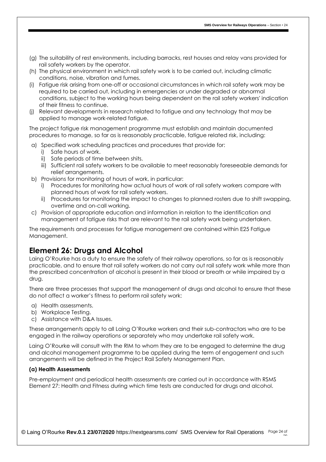- (g) The suitability of rest environments, including barracks, rest houses and relay vans provided for rail safety workers by the operator.
- (h) The physical environment in which rail safety work is to be carried out, including climatic conditions, noise, vibration and fumes.
- (i) Fatigue risk arising from one-off or occasional circumstances in which rail safety work may be required to be carried out, including in emergencies or under degraded or abnormal conditions, subject to the working hours being dependent on the rail safety workers' indication of their fitness to continue.
- (j) Relevant developments in research related to fatigue and any technology that may be applied to manage work-related fatigue.

The project fatigue risk management programme must establish and maintain documented procedures to manage, so far as is reasonably practicable, fatigue related risk, including:

- a) Specified work scheduling practices and procedures that provide for:
	- i) Safe hours of work.
	- ii) Safe periods of time between shits.
	- iii) Sufficient rail safety workers to be available to meet reasonably foreseeable demands for relief arrangements.
- b) Provisions for monitoring of hours of work, in particular:
	- i) Procedures for monitoring how actual hours of work of rail safety workers compare with planned hours of work for rail safety workers.
	- ii) Procedures for monitoring the impact to changes to planned rosters due to shift swapping, overtime and on-call working.
- c) Provision of appropriate education and information in relation to the identification and management of fatigue risks that are relevant to the rail safety work being undertaken.

The requirements and processes for fatigue management are contained within E25 Fatigue Management.

# <span id="page-23-0"></span>**Element 26: Drugs and Alcohol**

Laing O'Rourke has a duty to ensure the safety of their railway operations, so far as is reasonably practicable, and to ensure that rail safety workers do not carry out rail safety work while more than the prescribed concentration of alcohol is present in their blood or breath or while impaired by a drug.

There are three processes that support the management of drugs and alcohol to ensure that these do not affect a worker's fitness to perform rail safety work:

- a) Health assessments.
- b) Workplace Testing.
- c) Assistance with D&A Issues.

These arrangements apply to all Laing O'Rourke workers and their sub-contractors who are to be engaged in the railway operations or separately who may undertake rail safety work.

Laing O'Rourke will consult with the RIM to whom they are to be engaged to determine the drug and alcohol management programme to be applied during the term of engagement and such arrangements will be defined in the Project Rail Safety Management Plan.

### **(a) Health Assessments**

Pre-employment and periodical health assessments are carried out in accordance with RSMS Element 27: Health and Fitness during which time tests are conducted for drugs and alcohol.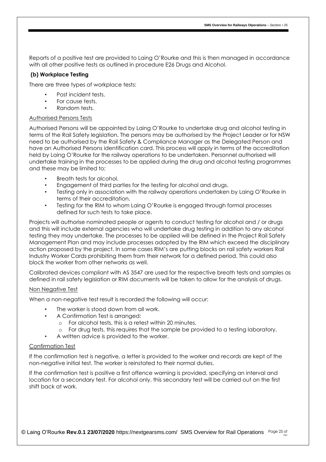Reports of a positive test are provided to Laing O'Rourke and this is then managed in accordance with all other positive tests as outlined in procedure E26 Drugs and Alcohol.

### **(b) Workplace Testing**

There are three types of workplace tests:

- Post incident tests.
- For cause tests.
- Random tests.

### Authorised Persons Tests

Authorised Persons will be appointed by Laing O'Rourke to undertake drug and alcohol testing in terms of the Rail Safety legislation. The persons may be authorised by the Project Leader or for NSW need to be authorised by the Rail Safety & Compliance Manager as the Delegated Person and have an Authorised Persons identification card. This process will apply in terms of the accreditation held by Laing O'Rourke for the railway operations to be undertaken. Personnel authorised will undertake training in the processes to be applied during the drug and alcohol testing programmes and these may be limited to:

- Breath tests for alcohol.
- Engagement of third parties for the testing for alcohol and drugs.
- Testing only in association with the railway operations undertaken by Laing O'Rourke in terms of their accreditation.
- Testing for the RIM to whom Laing O'Rourke is engaged through formal processes defined for such tests to take place.

Projects will authorise nominated people or agents to conduct testing for alcohol and / or drugs and this will include external agencies who will undertake drug testing in addition to any alcohol testing they may undertake. The processes to be applied will be defined in the Project Rail Safety Management Plan and may include processes adopted by the RIM which exceed the disciplinary action proposed by the project. In some cases RIM's are putting blocks on rail safety workers Rail Industry Worker Cards prohibiting them from their network for a defined period. This could also block the worker from other networks as well.

Calibrated devices compliant with AS 3547 are used for the respective breath tests and samples as defined in rail safety legislation or RIM documents will be taken to allow for the analysis of drugs.

### Non Negative Test

When a non-negative test result is recorded the following will occur:

- The worker is stood down from all work.
- A Confirmation Test is arranged:
	- o For alcohol tests, this is a retest within 20 minutes.
	- o For drug tests, this requires that the sample be provided to a testing laboratory.
	- A written advice is provided to the worker.

### Confirmation Test

If the confirmation test is negative, a letter is provided to the worker and records are kept of the non-negative initial test. The worker is reinstated to their normal duties.

If the confirmation test is positive a first offence warning is provided, specifying an interval and location for a secondary test. For alcohol only, this secondary test will be carried out on the first shift back at work.

© Laing O'Rourke **Rev.0.1 23/07/2020** https://nextgearsms.com/ SMS Overview for Rail Operations Page 25 of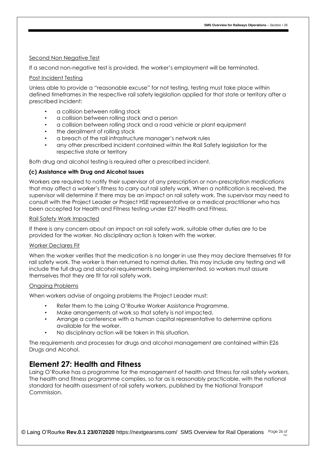#### Second Non Negative Test

If a second non-negative test is provided, the worker's employment will be terminated.

#### Post Incident Testing

Unless able to provide a "reasonable excuse" for not testing, testing must take place within defined timeframes in the respective rail safety legislation applied for that state or territory after a prescribed incident:

- a collision between rolling stock
- a collision between rolling stock and a person
- a collision between rolling stock and a road vehicle or plant equipment
- the derailment of rolling stock
- a breach of the rail infrastructure manager's network rules
- any other prescribed incident contained within the Rail Safety legislation for the respective state or territory

Both drug and alcohol testing is required after a prescribed incident.

#### **(c) Assistance with Drug and Alcohol Issues**

Workers are required to notify their supervisor of any prescription or non-prescription medications that may affect a worker's fitness to carry out rail safety work. When a notification is received, the supervisor will determine if there may be an impact on rail safety work. The supervisor may need to consult with the Project Leader or Project HSE representative or a medical practitioner who has been accepted for Health and Fitness testing under E27 Health and Fitness.

#### Rail Safety Work Impacted

If there is any concern about an impact on rail safety work, suitable other duties are to be provided for the worker. No disciplinary action is taken with the worker.

#### Worker Declares Fit

When the worker verifies that the medication is no longer in use they may declare themselves fit for rail safety work. The worker is then returned to normal duties. This may include any testing and will include the full drug and alcohol requirements being implemented, so workers must assure themselves that they are fit for rail safety work.

### Ongoing Problems

When workers advise of ongoing problems the Project Leader must:

- Refer them to the Laing O'Rourke Worker Assistance Programme.
- Make arrangements at work so that safety is not impacted.
- Arrange a conference with a human capital representative to determine options available for the worker.
- No disciplinary action will be taken in this situation.

The requirements and processes for drugs and alcohol management are contained within E26 Drugs and Alcohol.

## <span id="page-25-0"></span>**Element 27: Health and Fitness**

Laing O'Rourke has a programme for the management of health and fitness for rail safety workers. The health and fitness programme complies, so far as is reasonably practicable, with the national standard for health assessment of rail safety workers, published by the National Transport Commission.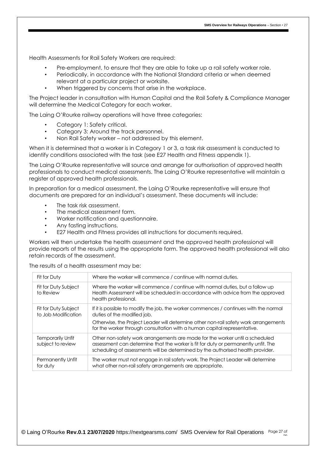Health Assessments for Rail Safety Workers are required:

- Pre-employment, to ensure that they are able to take up a rail safety worker role.
- Periodically, in accordance with the National Standard criteria or when deemed relevant at a particular project or worksite.
- When triggered by concerns that arise in the workplace.

The Project leader in consultation with Human Capital and the Rail Safety & Compliance Manager will determine the Medical Category for each worker.

The Laing O'Rourke railway operations will have three categories:

- Category 1: Safety critical.
- Category 3: Around the track personnel.
- Non Rail Safety worker not addressed by this element.

When it is determined that a worker is in Category 1 or 3, a task risk assessment is conducted to identify conditions associated with the task (see E27 Health and Fitness appendix 1).

The Laing O'Rourke representative will source and arrange for authorisation of approved health professionals to conduct medical assessments. The Laing O'Rourke representative will maintain a register of approved health professionals.

In preparation for a medical assessment, the Laing O'Rourke representative will ensure that documents are prepared for an individual's assessment. These documents will include:

- The task risk assessment.
- The medical assessment form.
- Worker notification and questionnaire.
- Any fasting instructions.
- E27 Health and Fitness provides all instructions for documents required.

Workers will then undertake the health assessment and the approved health professional will provide reports of the results using the appropriate form. The approved health professional will also retain records of the assessment.

The results of a health assessment may be:

| Fit for Duty                                  | Where the worker will commence / continue with normal duties.                                                                                                                                                                                                                            |
|-----------------------------------------------|------------------------------------------------------------------------------------------------------------------------------------------------------------------------------------------------------------------------------------------------------------------------------------------|
| Fit for Duty Subject<br>to Review             | Where the worker will commence / continue with normal duties, but a follow up<br>Health Assessment will be scheduled in accordance with advice from the approved<br>health professional.                                                                                                 |
| Fit for Duty Subject<br>to Job Modification   | If it is possible to modify the job, the worker commences / continues with the normal<br>duties of the modified job.<br>Otherwise, the Project Leader will determine other non-rail safety work arrangements<br>for the worker through consultation with a human capital representative. |
| <b>Temporarily Unfit</b><br>subject to review | Other non-safety work arrangements are made for the worker until a scheduled<br>assessment can determine that the worker is fit for duty or permanently unfit. The<br>scheduling of assessments will be determined by the authorised health provider.                                    |
| <b>Permanently Unfit</b><br>for duty          | The worker must not engage in rail safety work. The Project Leader will determine<br>what other non-rail safety arrangements are appropriate.                                                                                                                                            |

© Laing O'Rourke **Rev.0.1 23/07/2020** https://nextgearsms.com/ SMS Overview for Rail Operations Page 27 of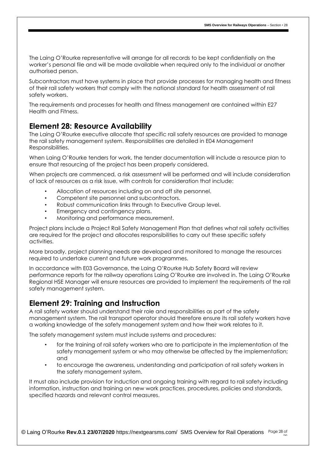The Laing O'Rourke representative will arrange for all records to be kept confidentially on the worker's personal file and will be made available when required only to the individual or another authorised person.

Subcontractors must have systems in place that provide processes for managing health and fitness of their rail safety workers that comply with the national standard for health assessment of rail safety workers.

The requirements and processes for health and fitness management are contained within E27 Health and Fitness.

# <span id="page-27-0"></span>**Element 28: Resource Availability**

The Laing O'Rourke executive allocate that specific rail safety resources are provided to manage the rail safety management system. Responsibilities are detailed in E04 Management Responsibilities.

When Laing O'Rourke tenders for work, the tender documentation will include a resource plan to ensure that resourcing of the project has been properly considered.

When projects are commenced, a risk assessment will be performed and will include consideration of lack of resources as a risk issue, with controls for consideration that include:

- Allocation of resources including on and off site personnel.
- Competent site personnel and subcontractors.
- Robust communication links through to Executive Group level.
- Emergency and contingency plans.
- Monitoring and performance measurement.

Project plans include a Project Rail Safety Management Plan that defines what rail safety activities are required for the project and allocates responsibilities to carry out these specific safety activities.

More broadly, project planning needs are developed and monitored to manage the resources required to undertake current and future work programmes.

In accordance with E03 Governance, the Laing O'Rourke Hub Safety Board will review performance reports for the railway operations Laing O'Rourke are involved in. The Laing O'Rourke Regional HSE Manager will ensure resources are provided to implement the requirements of the rail safety management system.

# <span id="page-27-1"></span>**Element 29: Training and Instruction**

A rail safety worker should understand their role and responsibilities as part of the safety management system. The rail transport operator should therefore ensure its rail safety workers have a working knowledge of the safety management system and how their work relates to it.

The safety management system must include systems and procedures:

- for the training of rail safety workers who are to participate in the implementation of the safety management system or who may otherwise be affected by the implementation; and
- to encourage the awareness, understanding and participation of rail safety workers in the safety management system.

It must also include provision for induction and ongoing training with regard to rail safety including information, instruction and training on new work practices, procedures, policies and standards, specified hazards and relevant control measures.

© Laing O'Rourke **Rev.0.1 23/07/2020** https://nextgearsms.com/ SMS Overview for Rail Operations Page 28 of